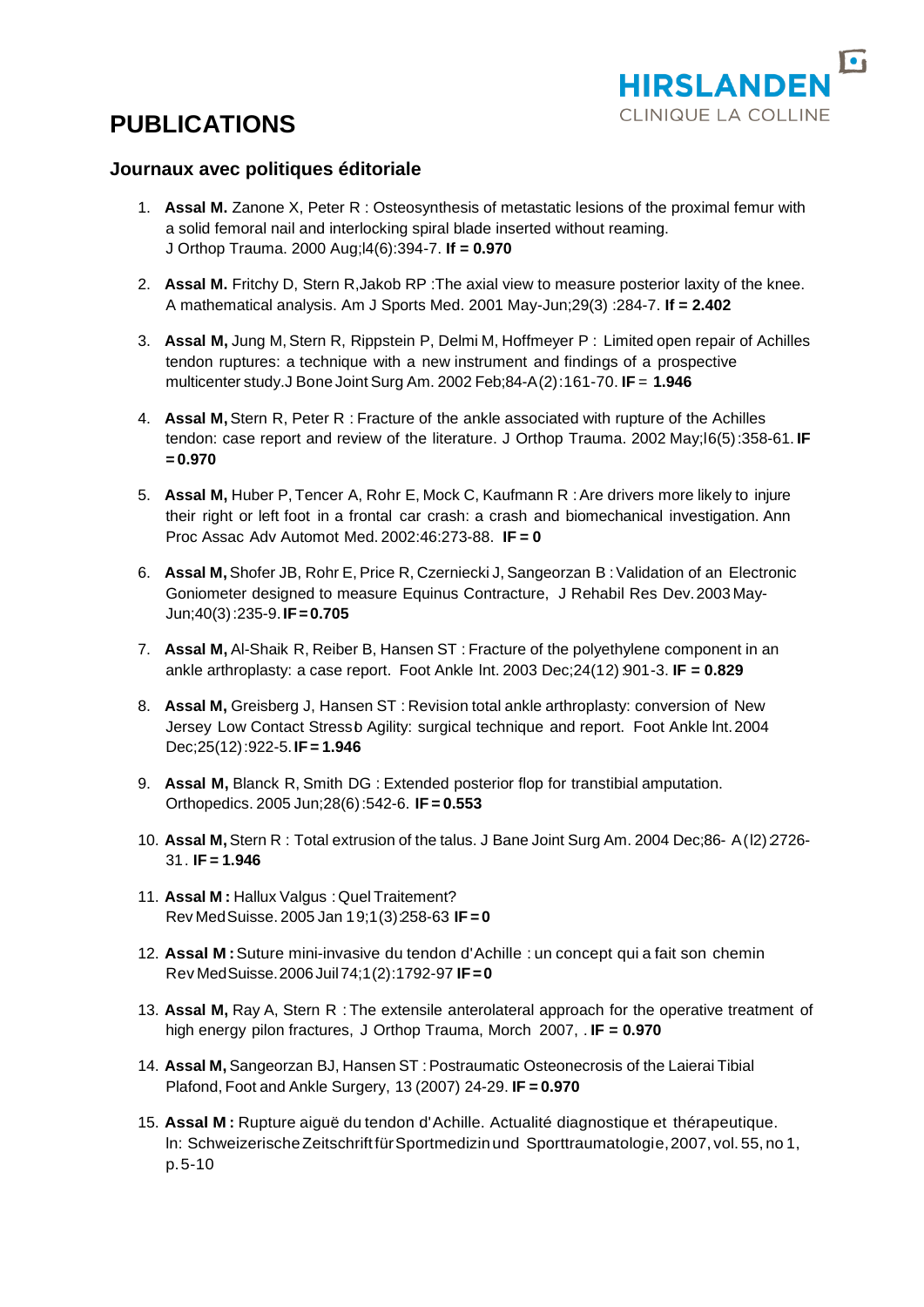

# **PUBLICATIONS**

### **Journaux avec politiques éditoriale**

- 1. **Assal M.** Zanone X, Peter R : Osteosynthesis of metastatic lesions of the proximal femur with a solid femoral nail and interlocking spiral blade inserted without reaming. J Orthop Trauma. 2000 Aug;l4(6):394-7. **If = 0.970**
- 2. **Assal M.** Fritchy D, Stern R,Jakob RP :The axial view to measure posterior laxity of the knee. A mathematical analysis. Am J Sports Med. 2001 May-Jun;29(3) :284-7. **If = 2.402**
- 3. **Assal M,** Jung M,Stern R, Rippstein P, Delmi M, Hoffmeyer P : Limited open repair of Achilles tendon ruptures: a technique with a new instrument and findings of a prospective multicenter study.J Bone Joint Surg Am. 2002 Feb;84-A(2):161-70. **IF** = **1.946**
- 4. **Assal M,** Stern R, Peter R : Fracture of the ankle associated with rupture of the Achilles tendon: case report and review of the literature. J Orthop Trauma. 2002 May;l6(5):358-61. **IF = 0.970**
- 5. **Assal M, Huber P, Tencer A, Rohr E, Mock C, Kaufmann R: Are drivers more likely to injure** their right or left foot in a frontal car crash: a crash and biomechanical investigation. Ann Proc Assac Adv Automot Med. 2002:46:273-88. **IF = 0**
- 6. **Assal M,**Shofer JB, Rohr E, Price R, Czerniecki J, Sangeorzan B :Validation of an Electronic Goniometer designed to measure Equinus Contracture, J Rehabil Res Dev.2003 May-Jun;40(3):235-9.**IF=0.705**
- 7. **Assal M,** Al-Shaik R, Reiber B, Hansen ST : Fracture of the polyethylene component in an ankle arthroplasty: a case report. Foot Ankle lnt. 2003 Dec;24(12):901-3. **IF = 0.829**
- 8. **Assal M,** Greisberg J, Hansen ST : Revision total ankle arthroplasty: conversion of New Jersey Low Contact Stressb Agility: surgical technique and report. Foot Ankle Int. 2004 Dec;25(12):922-5.**IF = 1.946**
- 9. **Assal M,** Blanck R, Smith DG : Extended posterior flop for transtibial amputation. Orthopedics. 2005 Jun;28(6):542-6. **IF = 0.553**
- 10. **Assal M,**Stern R : Total extrusion of the talus. J Bane Joint Surg Am. 2004 Dec;86- A(l2):2726- 31. **IF = 1.946**
- 11. **Assal M :** Hallux Valgus :Quel Traitement? Rev MedSuisse. 2005 Jan 19;1(3):258-63 **IF = 0**
- 12. **Assal M :**Suture mini-invasive du tendon d'Achille : un concept qui a fait son chemin Rev MedSuisse.2006Juil74;1(2):1792-97 **IF=0**
- 13. **Assal M,** Ray A, Stern R : The extensile anterolateral approach for the operative treatment of high energy pilon fractures, J Orthop Trauma, Morch 2007, . **IF = 0.970**
- 14. **Assal M,** Sangeorzan BJ, Hansen ST :Postraumatic Osteonecrosis of the Laierai Tibial Plafond, Foot and Ankle Surgery, 13 (2007) 24-29. **IF = 0.970**
- 15. **Assal M :** Rupture aiguë du tendon d'Achille. Actualité diagnostique et thérapeutique. ln: SchweizerischeZeitschrift fürSportmedizinund Sporttraumatologie,2007, vol. 55, no 1, p.5-10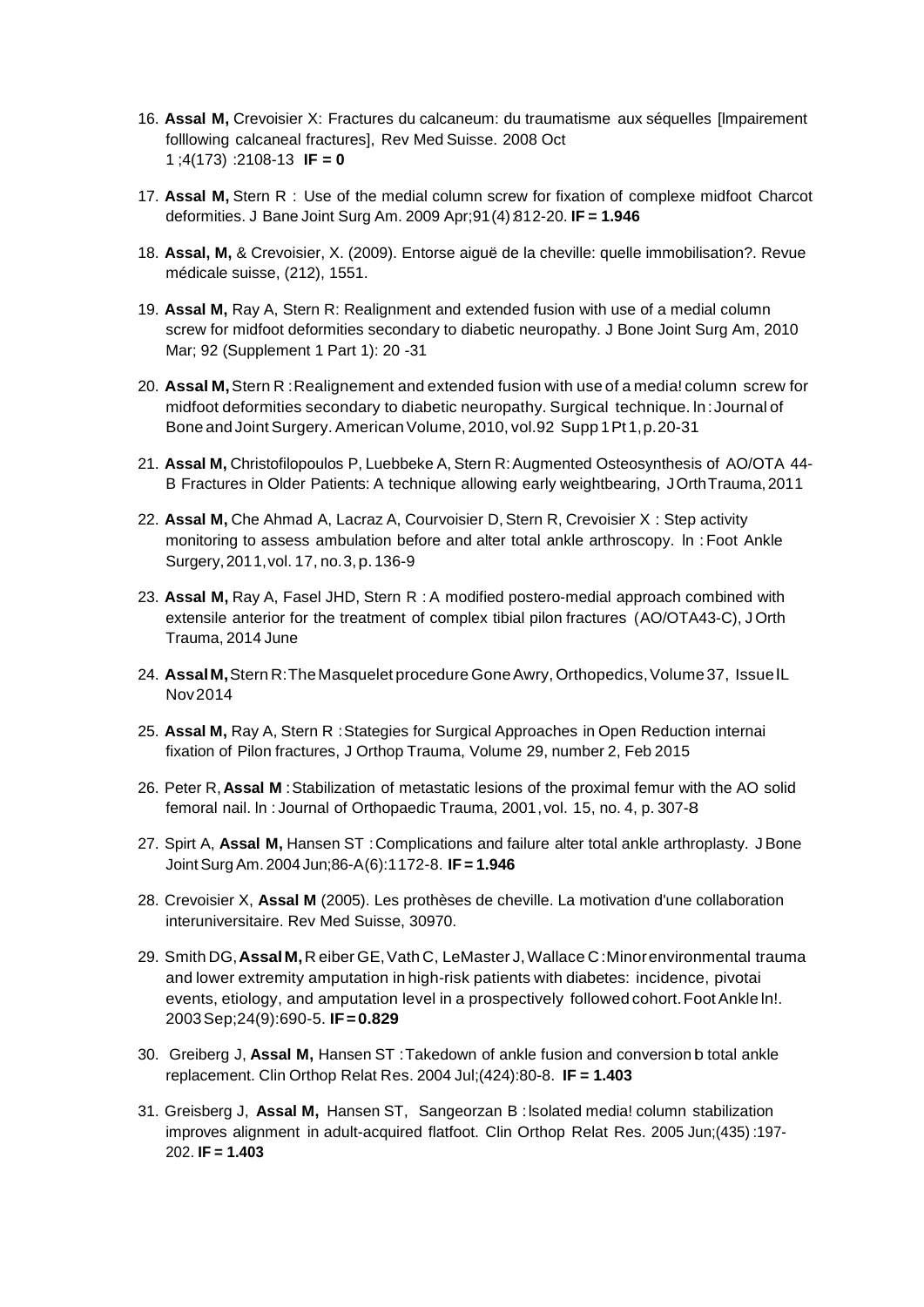- 16. **Assal M,** Crevoisier X: Fractures du calcaneum: du traumatisme aux séquelles [lmpairement folllowing calcaneal fractures], Rev Med Suisse. 2008 Oct 1 ;4(173) :2108-13 **IF = 0**
- 17. **Assal M,** Stern R : Use of the medial column screw for fixation of complexe midfoot Charcot deformities. J Bane Joint Surg Am. 2009 Apr;91(4):812-20. **IF = 1.946**
- 18. **Assal, M,** & Crevoisier, X. (2009). Entorse aiguë de la cheville: quelle immobilisation?. Revue médicale suisse, (212), 1551.
- 19. **Assal M,** Ray A, Stern R: Realignment and extended fusion with use of a medial column screw for midfoot deformities secondary to diabetic neuropathy. J Bone Joint Surg Am, 2010 Mar; 92 (Supplement 1 Part 1): 20 -31
- 20. **Assal M,**Stern R :Realignement and extended fusion with use of a media! column screw for midfoot deformities secondary to diabetic neuropathy. Surgical technique. ln:Journal of Bone and Joint Surgery. American Volume, 2010, vol.92 Supp 1 Pt 1, p. 20-31
- 21. **Assal M,** Christofilopoulos P, Luebbeke A, Stern R:Augmented Osteosynthesis of AO/OTA 44- B Fractures in Older Patients: A technique allowing early weightbearing, JOrthTrauma,2011
- 22. Assal M, Che Ahmad A, Lacraz A, Courvoisier D, Stern R, Crevoisier X : Step activity monitoring to assess ambulation before and alter total ankle arthroscopy. ln :Foot Ankle Surgery,2011,vol. 17, no.3,p.136-9
- 23. **Assal M,** Ray A, Fasel JHD, Stern R : A modified postero-medial approach combined with extensile anterior for the treatment of complex tibial pilon fractures (AO/OTA43-C), J Orth Trauma, 2014 June
- 24. **AssalM,**Stern R:The Masquelet procedure GoneAwry, Orthopedics,Volume 37, IssuelL Nov2014
- 25. **Assal M,** Ray A, Stern R :Stategies for Surgical Approaches in Open Reduction internai fixation of Pilon fractures, J Orthop Trauma, Volume 29, number 2, Feb 2015
- 26. Peter R,**Assal M** :Stabilization of metastatic lesions of the proximal femur with the AO solid femoral nail. ln : Journal of Orthopaedic Trauma, 2001,vol. 15, no. 4, p. 307-8
- 27. Spirt A, **Assal M,** Hansen ST :Complications and failure alter total ankle arthroplasty. JBone Joint Surg Am. 2004 Jun;86-A(6):1172-8. **IF = 1.946**
- 28. Crevoisier X, **Assal M** (2005). Les prothèses de cheville. La motivation d'une collaboration interuniversitaire. Rev Med Suisse, 30970.
- 29. Smith DG,**AssalM,**R eiber GE,Vath C, LeMaster J,Wallace C:Minorenvironmental trauma and lower extremity amputation in high-risk patients with diabetes: incidence, pivotai events, etiology, and amputation level in a prospectively followed cohort. Foot Ankle In!. 2003Sep;24(9):690-5. **IF=0.829**
- 30. Greiberg J, Assal M, Hansen ST: Takedown of ankle fusion and conversion b total ankle replacement. Clin Orthop Relat Res. 2004 Jul;(424):80-8. **IF = 1.403**
- 31. Greisberg J, **Assal M,** Hansen ST, Sangeorzan B :lsolated media! column stabilization improves alignment in adult-acquired flatfoot. Clin Orthop Relat Res. 2005 Jun;(435) :197- 202. **IF = 1.403**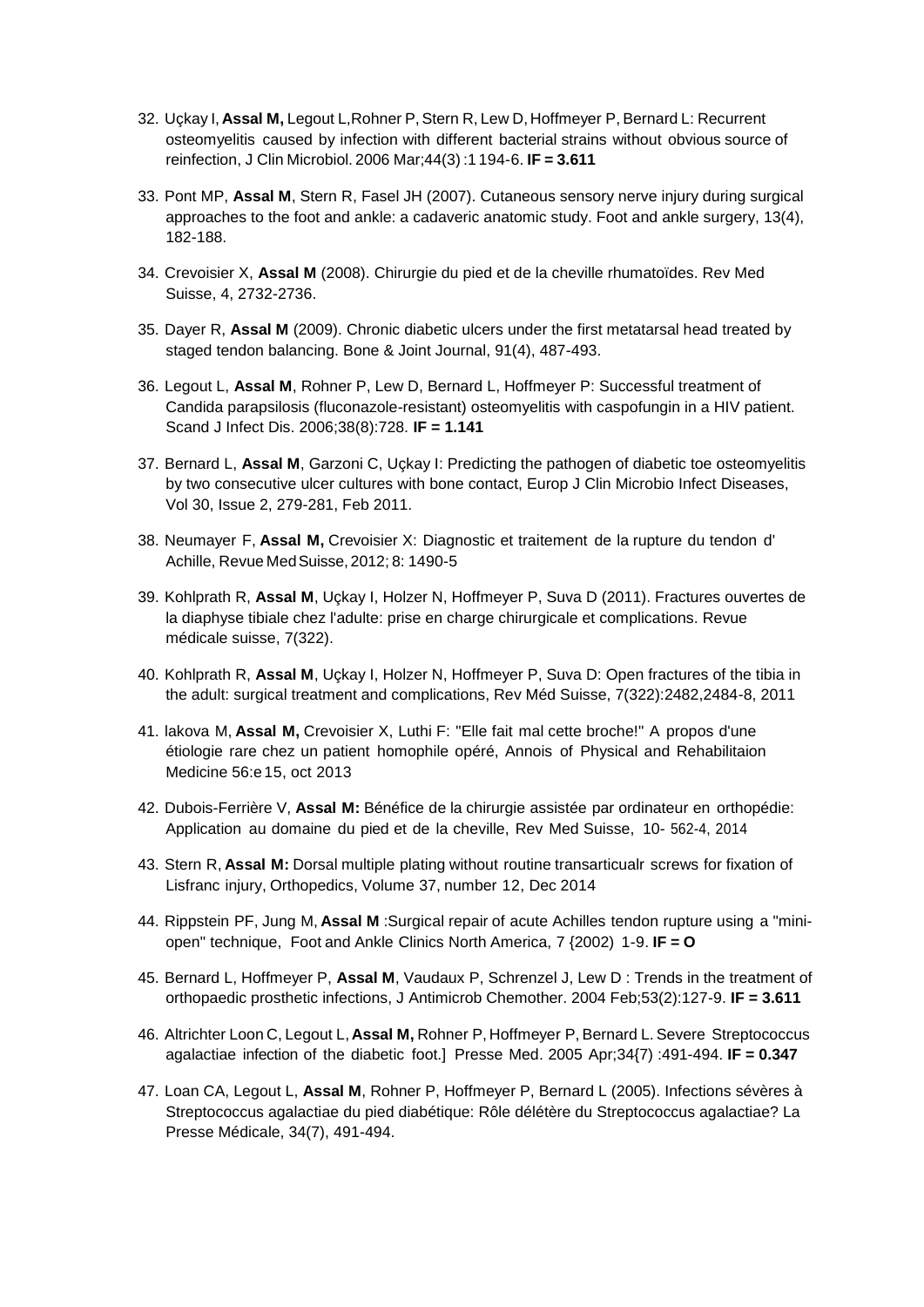- 32. Uçkay I, **Assal M,** Legout L,Rohner P,Stern R, Lew D, Hoffmeyer P, Bernard L: Recurrent osteomyelitis caused by infection with different bacterial strains without obvious source of reinfection, J Clin Microbiol. 2006 Mar;44(3) :1 194-6. **IF = 3.611**
- 33. Pont MP, **Assal M**, Stern R, Fasel JH (2007). Cutaneous sensory nerve injury during surgical approaches to the foot and ankle: a cadaveric anatomic study. Foot and ankle surgery, 13(4), 182-188.
- 34. Crevoisier X, **Assal M** (2008). Chirurgie du pied et de la cheville rhumatoïdes. Rev Med Suisse, 4, 2732-2736.
- 35. Dayer R, **Assal M** (2009). Chronic diabetic ulcers under the first metatarsal head treated by staged tendon balancing. Bone & Joint Journal, 91(4), 487-493.
- 36. Legout L, **Assal M**, Rohner P, Lew D, Bernard L, Hoffmeyer P: Successful treatment of Candida parapsilosis (fluconazole-resistant) osteomyelitis with caspofungin in a HIV patient. Scand J Infect Dis. 2006;38(8):728. **IF = 1.141**
- 37. Bernard L, **Assal M**, Garzoni C, Uçkay I: Predicting the pathogen of diabetic toe osteomyelitis by two consecutive ulcer cultures with bone contact, Europ J Clin Microbio Infect Diseases, Vol 30, Issue 2, 279-281, Feb 2011.
- 38. Neumayer F, **Assal M,** Crevoisier X: Diagnostic et traitement de la rupture du tendon d' Achille, Revue MedSuisse, 2012; 8: 1490-5
- 39. Kohlprath R, **Assal M**, Uçkay I, Holzer N, Hoffmeyer P, Suva D (2011). Fractures ouvertes de la diaphyse tibiale chez l'adulte: prise en charge chirurgicale et complications. Revue médicale suisse, 7(322).
- 40. Kohlprath R, **Assal M**, Uçkay I, Holzer N, Hoffmeyer P, Suva D: Open fractures of the tibia in the adult: surgical treatment and complications, Rev Méd Suisse, 7(322):2482,2484-8, 2011
- 41. lakova M, **Assal M,** Crevoisier X, Luthi F: "Elle fait mal cette broche!" A propos d'une étiologie rare chez un patient homophile opéré, Annois of Physical and Rehabilitaion Medicine 56:e15, oct 2013
- 42. Dubois-Ferrière V, **Assal M:** Bénéfice de la chirurgie assistée par ordinateur en orthopédie: Application au domaine du pied et de la cheville, Rev Med Suisse, 10- 562-4, 2014
- 43. Stern R, **Assal M:** Dorsal multiple plating without routine transarticualr screws for fixation of Lisfranc injury, Orthopedics, Volume 37, number 12, Dec 2014
- 44. Rippstein PF, Jung M, **Assal M** :Surgical repair of acute Achilles tendon rupture using a "miniopen" technique, Foot and Ankle Clinics North America, 7 {2002) 1-9. **IF = O**
- 45. Bernard L, Hoffmeyer P, **Assal M**, Vaudaux P, Schrenzel J, Lew D : Trends in the treatment of orthopaedic prosthetic infections, J Antimicrob Chemother. 2004 Feb;53(2):127-9. **IF = 3.611**
- 46. Altrichter Loon C, Legout L, **Assal M,** Rohner P, Hoffmeyer P, Bernard L. Severe Streptococcus agalactiae infection of the diabetic foot.] Presse Med. 2005 Apr;34{7) :491-494. **IF = 0.347**
- 47. Loan CA, Legout L, **Assal M**, Rohner P, Hoffmeyer P, Bernard L (2005). Infections sévères à Streptococcus agalactiae du pied diabétique: Rôle délétère du Streptococcus agalactiae? La Presse Médicale, 34(7), 491-494.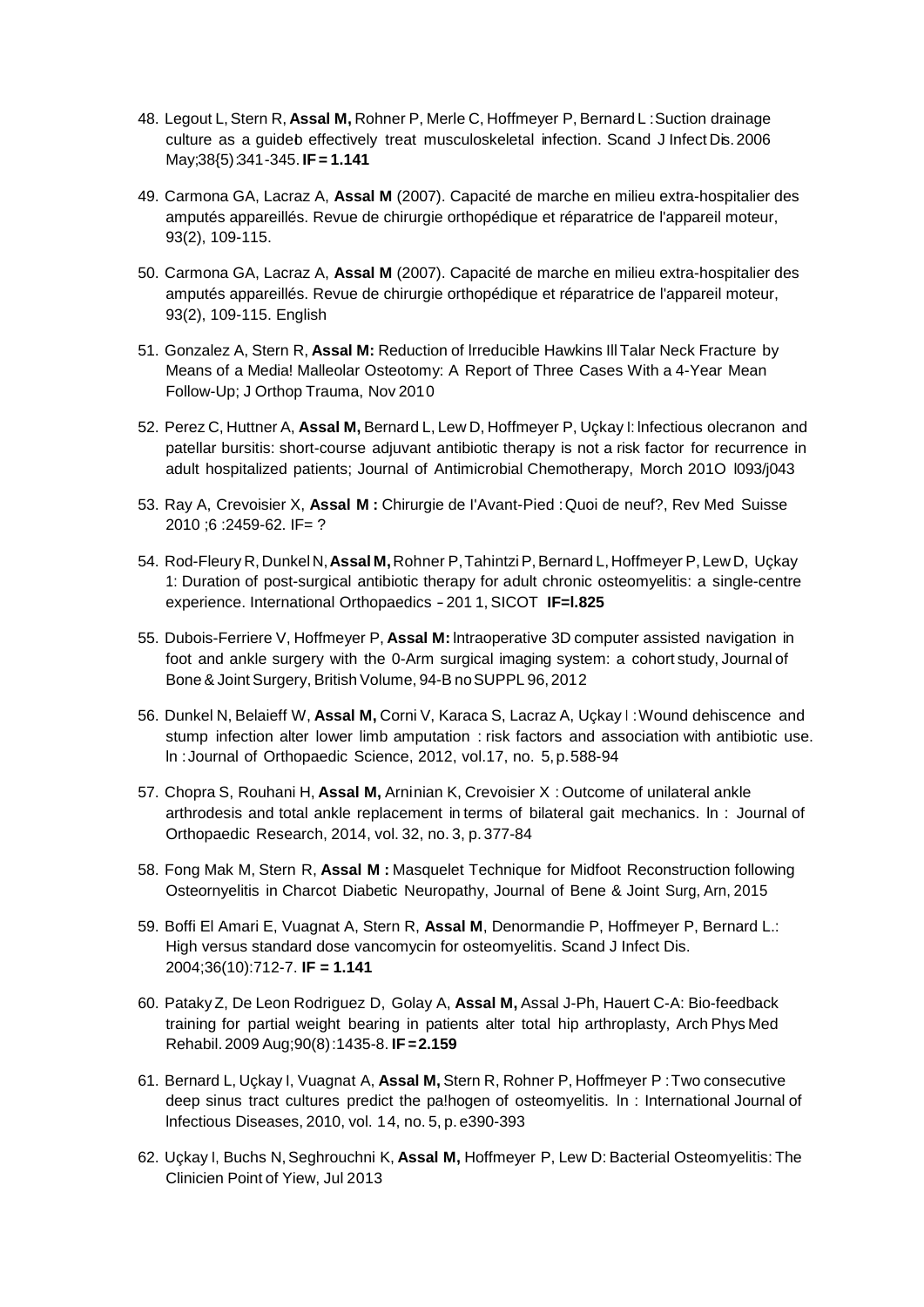- 48. Legout L,Stern R, **Assal M,** Rohner P, Merle C, Hoffmeyer P, Bernard L :Suction drainage culture as a guideb effectively treat musculoskeletal infection. Scand J Infect Dis. 2006 May;38{5):341-345. **IF= 1.141**
- 49. Carmona GA, Lacraz A, **Assal M** (2007). Capacité de marche en milieu extra-hospitalier des amputés appareillés. Revue de chirurgie orthopédique et réparatrice de l'appareil moteur, 93(2), 109-115.
- 50. Carmona GA, Lacraz A, **Assal M** (2007). Capacité de marche en milieu extra-hospitalier des amputés appareillés. Revue de chirurgie orthopédique et réparatrice de l'appareil moteur, 93(2), 109-115. English
- 51. Gonzalez A, Stern R, **Assal M:** Reduction of lrreducible Hawkins IllTalar Neck Fracture by Means of a Media! Malleolar Osteotomy: A Report of Three Cases With a 4-Year Mean Follow-Up; J Orthop Trauma, Nov 2010
- 52. Perez C, Huttner A, **Assal M,** Bernard L, Lew D, Hoffmeyer P, Uçkay I: lnfectious olecranon and patellar bursitis: short-course adjuvant antibiotic therapy is not a risk factor for recurrence in adult hospitalized patients; Journal of Antimicrobial Chemotherapy, Morch 201O l093/j043
- 53. Ray A, Crevoisier X, **Assal M :** Chirurgie de I'Avant-Pied :Quoi de neuf?, Rev Med Suisse 2010 ;6 :2459-62. IF= ?
- 54. Rod-Fleury R,DunkelN,**Assal M,**Rohner P,TahintziP,Bernard L,Hoffmeyer P, Lew D, Uçkay 1: Duration of post-surgical antibiotic therapy for adult chronic osteomyelitis: a single-centre experience. International Orthopaedics -201 1, SICOT **IF=l.825**
- 55. Dubois-Ferriere V, Hoffmeyer P, **Assal M:** lntraoperative 3D computer assisted navigation in foot and ankle surgery with the 0-Arm surgical imaging system: a cohort study, Journal of Bone & Joint Surgery, British Volume, 94-B no SUPPL 96, 2012
- 56. Dunkel N, Belaieff W, **Assal M,** Corni V, Karaca S, Lacraz A, Uçkay <sup>I</sup> :Wound dehiscence and stump infection alter lower limb amputation : risk factors and association with antibiotic use. ln :Journal of Orthopaedic Science, 2012, vol.17, no. 5,p.588-94
- 57. Chopra S, Rouhani H, **Assal M,** Arninian K, Crevoisier X : Outcome of unilateral ankle arthrodesis and total ankle replacement in terms of bilateral gait mechanics. ln : Journal of Orthopaedic Research, 2014, vol. 32, no. 3, p. 377-84
- 58. Fong Mak M, Stern R, **Assal M :** Masquelet Technique for Midfoot Reconstruction following Osteornyelitis in Charcot Diabetic Neuropathy, Journal of Bene & Joint Surg, Arn, 2015
- 59. Boffi El Amari E, Vuagnat A, Stern R, **Assal M**, Denormandie P, Hoffmeyer P, Bernard L.: High versus standard dose vancomycin for osteomyelitis. Scand J Infect Dis. 2004;36(10):712-7. **IF = 1.141**
- 60. PatakyZ, De Leon Rodriguez D, Golay A, **Assal M,** Assal J-Ph, Hauert C-A: Bio-feedback training for partial weight bearing in patients alter total hip arthroplasty, Arch Phys Med Rehabil. 2009 Aug;90(8):1435-8. **IF =2.159**
- 61. Bernard L, Uçkay I, Vuagnat A, **Assal M,** Stern R, Rohner P, Hoffmeyer P :Two consecutive deep sinus tract cultures predict the pa!hogen of osteomyelitis. ln : International Journal of lnfectious Diseases, 2010, vol. 14, no. 5, p. e390-393
- 62. Uçkay I, Buchs N,Seghrouchni K, **Assal M,** Hoffmeyer P, Lew D: Bacterial Osteomyelitis: The Clinicien Point of Yiew, Jul 2013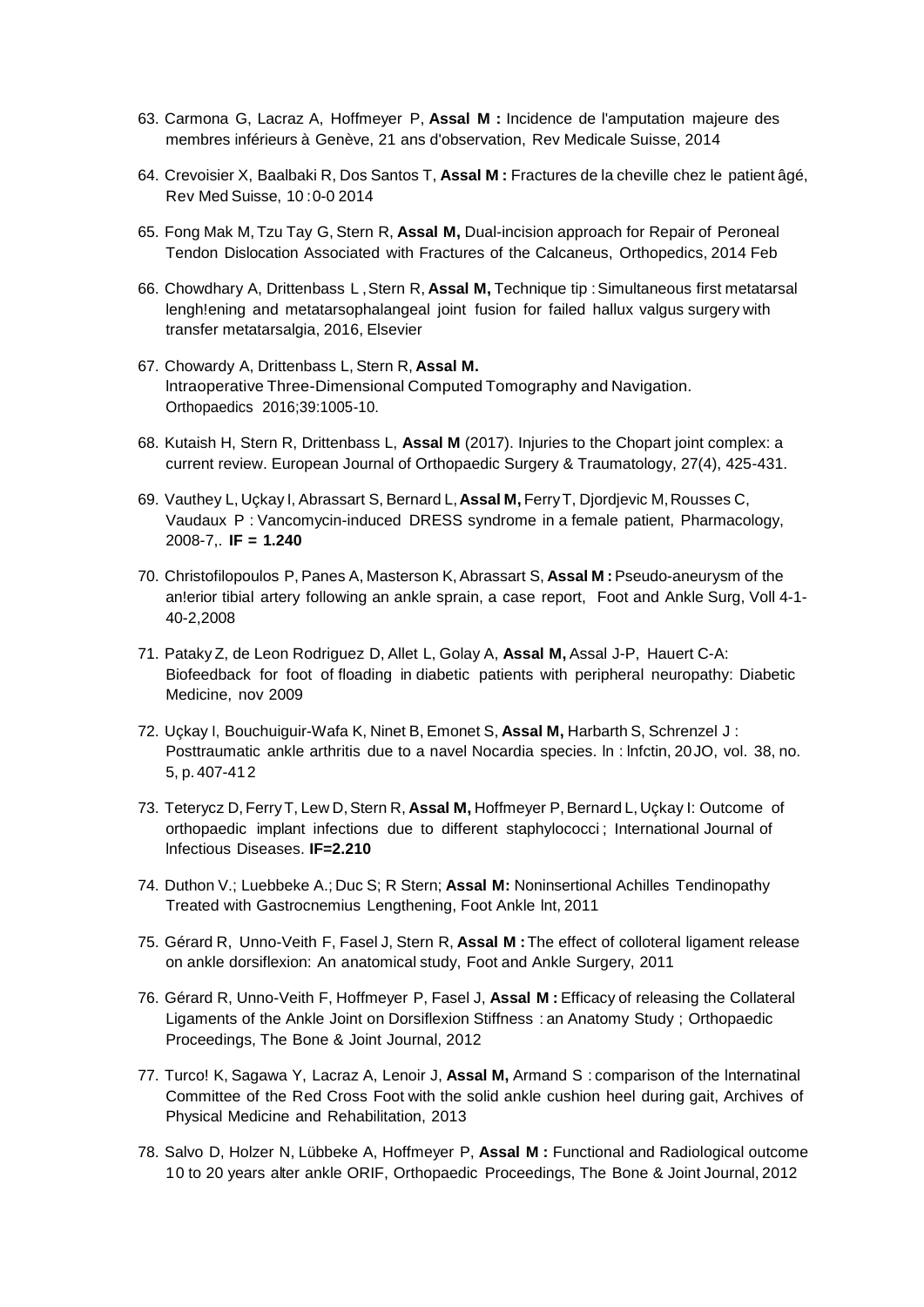- 63. Carmona G, Lacraz A, Hoffmeyer P, **Assal M :** Incidence de l'amputation majeure des membres inférieurs à Genève, 21 ans d'observation, Rev Medicale Suisse, 2014
- 64. Crevoisier X, Baalbaki R, Dos Santos T, **Assal M :** Fractures de la cheville chez le patient âgé, Rev Med Suisse, 10 :0-0 2014
- 65. Fong Mak M, Tzu Tay G, Stern R, **Assal M,** Dual-incision approach for Repair of Peroneal Tendon Dislocation Associated with Fractures of the Calcaneus, Orthopedics, 2014 Feb
- 66. Chowdhary A, Drittenbass L ,Stern R, **Assal M,** Technique tip :Simultaneous first metatarsal lengh!ening and metatarsophalangeal joint fusion for failed hallux valgus surgery with transfer metatarsalgia, 2016, Elsevier
- 67. Chowardy A, Drittenbass L, Stern R, **Assal M.** lntraoperative Three-Dimensional Computed Tomography and Navigation. Orthopaedics 2016;39:1005-10.
- 68. Kutaish H, Stern R, Drittenbass L, **Assal M** (2017). Injuries to the Chopart joint complex: a current review. European Journal of Orthopaedic Surgery & Traumatology, 27(4), 425-431.
- 69. Vauthey L, Uçkay I, Abrassart S, Bernard L,**Assal M,** FerryT, Djordjevic M,Rousses C, Vaudaux P : Vancomycin-induced DRESS syndrome in a female patient, Pharmacology, 2008-7,. **IF = 1.240**
- 70. Christofilopoulos P, Panes A, Masterson K, Abrassart S, **Assal M :**Pseudo-aneurysm of the an!erior tibial artery following an ankle sprain, a case report, Foot and Ankle Surg, Voll 4-1- 40-2,2008
- 71. PatakyZ, de Leon Rodriguez D, Allet L, Golay A, **Assal M,** Assal J-P, Hauert C-A: Biofeedback for foot of floading in diabetic patients with peripheral neuropathy: Diabetic Medicine, nov 2009
- 72. Uçkay I, Bouchuiguir-Wafa K, Ninet B, Emonet S, **Assal M,** Harbarth S, Schrenzel J : Posttraumatic ankle arthritis due to a navel Nocardia species. ln : lnfctin, 20JO, vol. 38, no. 5, p. 407-412
- 73. Teterycz D, FerryT, Lew D,Stern R, **Assal M,** Hoffmeyer P,Bernard L, Uçkay I: Outcome of orthopaedic implant infections due to different staphylococci ; International Journal of lnfectious Diseases. **IF=2.210**
- 74. Duthon V.; Luebbeke A.; Duc S; R Stern; **Assal M:** Noninsertional Achilles Tendinopathy Treated with Gastrocnemius Lengthening, Foot Ankle lnt, 2011
- 75. Gérard R, Unno-Veith F, Fasel J, Stern R, **Assal M :**The effect of colloteral ligament release on ankle dorsiflexion: An anatomical study, Foot and Ankle Surgery, 2011
- 76. Gérard R, Unno-Veith F, Hoffmeyer P, Fasel J, **Assal M :** Efficacy of releasing the Collateral Ligaments of the Ankle Joint on Dorsiflexion Stiffness : an Anatomy Study ; Orthopaedic Proceedings, The Bone & Joint Journal, 2012
- 77. Turco! K, Sagawa Y, Lacraz A, Lenoir J, **Assal M,** Armand S : comparison of the lnternatinal Committee of the Red Cross Foot with the solid ankle cushion heel during gait, Archives of Physical Medicine and Rehabilitation, 2013
- 78. Salvo D, Holzer N, Lübbeke A, Hoffmeyer P, **Assal M :** Functional and Radiological outcome 10 to 20 years alter ankle ORIF, Orthopaedic Proceedings, The Bone & Joint Journal, 2012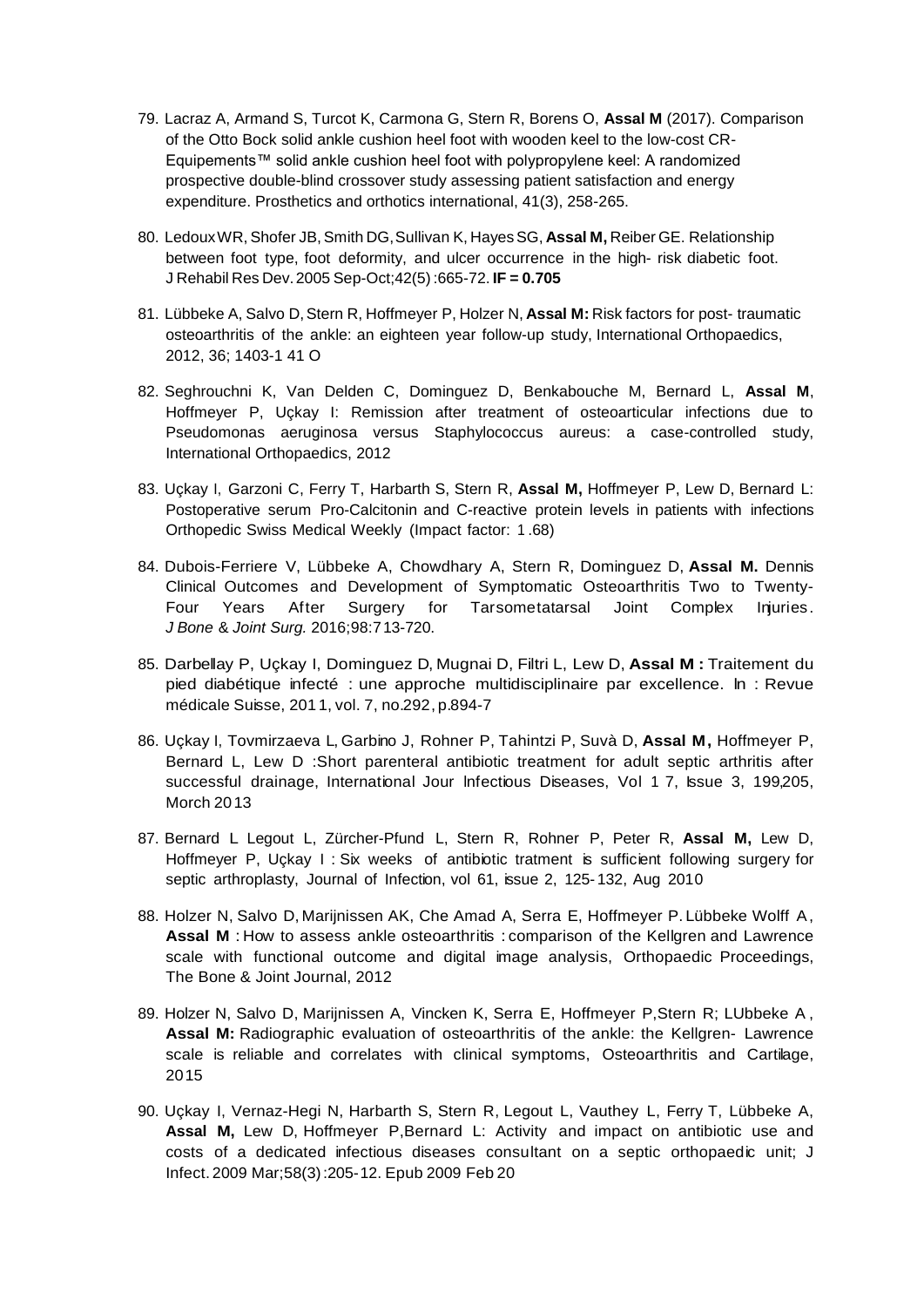- 79. Lacraz A, Armand S, Turcot K, Carmona G, Stern R, Borens O, **Assal M** (2017). Comparison of the Otto Bock solid ankle cushion heel foot with wooden keel to the low-cost CR-Equipements™ solid ankle cushion heel foot with polypropylene keel: A randomized prospective double-blind crossover study assessing patient satisfaction and energy expenditure. Prosthetics and orthotics international, 41(3), 258-265.
- 80. LedouxWR, Shofer JB,Smith DG,Sullivan K, HayesSG, **Assal M,** Reiber GE. Relationship between foot type, foot deformity, and ulcer occurrence in the high- risk diabetic foot. J Rehabil Res Dev.2005 Sep-Oct;42(5):665-72. **IF = 0.705**
- 81. Lübbeke A, Salvo D,Stern R, Hoffmeyer P, Holzer N, **Assal M:** Risk factors for post- traumatic osteoarthritis of the ankle: an eighteen year follow-up study, International Orthopaedics, 2012, 36; 1403-1 41 O
- 82. Seghrouchni K, Van Delden C, Dominguez D, Benkabouche M, Bernard L, **Assal M**, Hoffmeyer P, Uçkay I: Remission after treatment of osteoarticular infections due to Pseudomonas aeruginosa versus Staphylococcus aureus: a case-controlled study, International Orthopaedics, 2012
- 83. Uçkay I, Garzoni C, Ferry T, Harbarth S, Stern R, **Assal M,** Hoffmeyer P, Lew D, Bernard L: Postoperative serum Pro-Calcitonin and C-reactive protein levels in patients with infections Orthopedic Swiss Medical Weekly (Impact factor: 1 .68)
- 84. Dubois-Ferriere V, Lübbeke A, Chowdhary A, Stern R, Dominguez D, **Assal M.** Dennis Clinical Outcomes and Development of Symptomatic Osteoarthritis Two to Twenty-Four Years After Surgery for Tarsometatarsal Joint Complex Injuries. *J Bone* & *Joint Surg.* 2016;98:713-720.
- 85. Darbellay P, Uçkay I, Dominguez D, Mugnai D, Filtri L, Lew D, **Assal M :** Traitement du pied diabétique infecté : une approche multidisciplinaire par excellence. ln : Revue médicale Suisse, 201 1, vol. 7, no.292, p.894-7
- 86. Uçkay I, Tovmirzaeva L, Garbino J, Rohner P, Tahintzi P, Suvà D, **Assal M,** Hoffmeyer P, Bernard L, Lew D :Short parenteral antibiotic treatment for adult septic arthritis after successful drainage, International Jour Infectious Diseases, Vol 1 7, Issue 3, 199,205, Morch 2013
- 87. Bernard L Legout L, Zürcher-Pfund L, Stern R, Rohner P, Peter R, **Assal M,** Lew D, Hoffmeyer P, Uçkay I : Six weeks of antibiotic tratment is sufficient following surgery for septic arthroplasty, Journal of Infection, vol 61, issue 2, 125- 132, Aug 2010
- 88. Holzer N, Salvo D, Marijnissen AK, Che Amad A, Serra E, Hoffmeyer P. Lübbeke Wolff A, **Assal M** : How to assess ankle osteoarthritis : comparison of the Kellgren and Lawrence scale with functional outcome and digital image analysis, Orthopaedic Proceedings, The Bone & Joint Journal, 2012
- 89. Holzer N, Salvo D, Marijnissen A, Vincken K, Serra E, Hoffmeyer P,Stern R; LUbbeke A , **Assal M:** Radiographic evaluation of osteoarthritis of the ankle: the Kellgren- Lawrence scale is reliable and correlates with clinical symptoms, Osteoarthritis and Cartilage, 2015
- 90. Uçkay I, Vernaz-Hegi N, Harbarth S, Stern R, Legout L, Vauthey L, Ferry T, Lübbeke A, **Assal M,** Lew D, Hoffmeyer P,Bernard L: Activity and impact on antibiotic use and costs of a dedicated infectious diseases consultant on a septic orthopaedic unit; J Infect. 2009 Mar;58(3):205-12. Epub 2009 Feb 20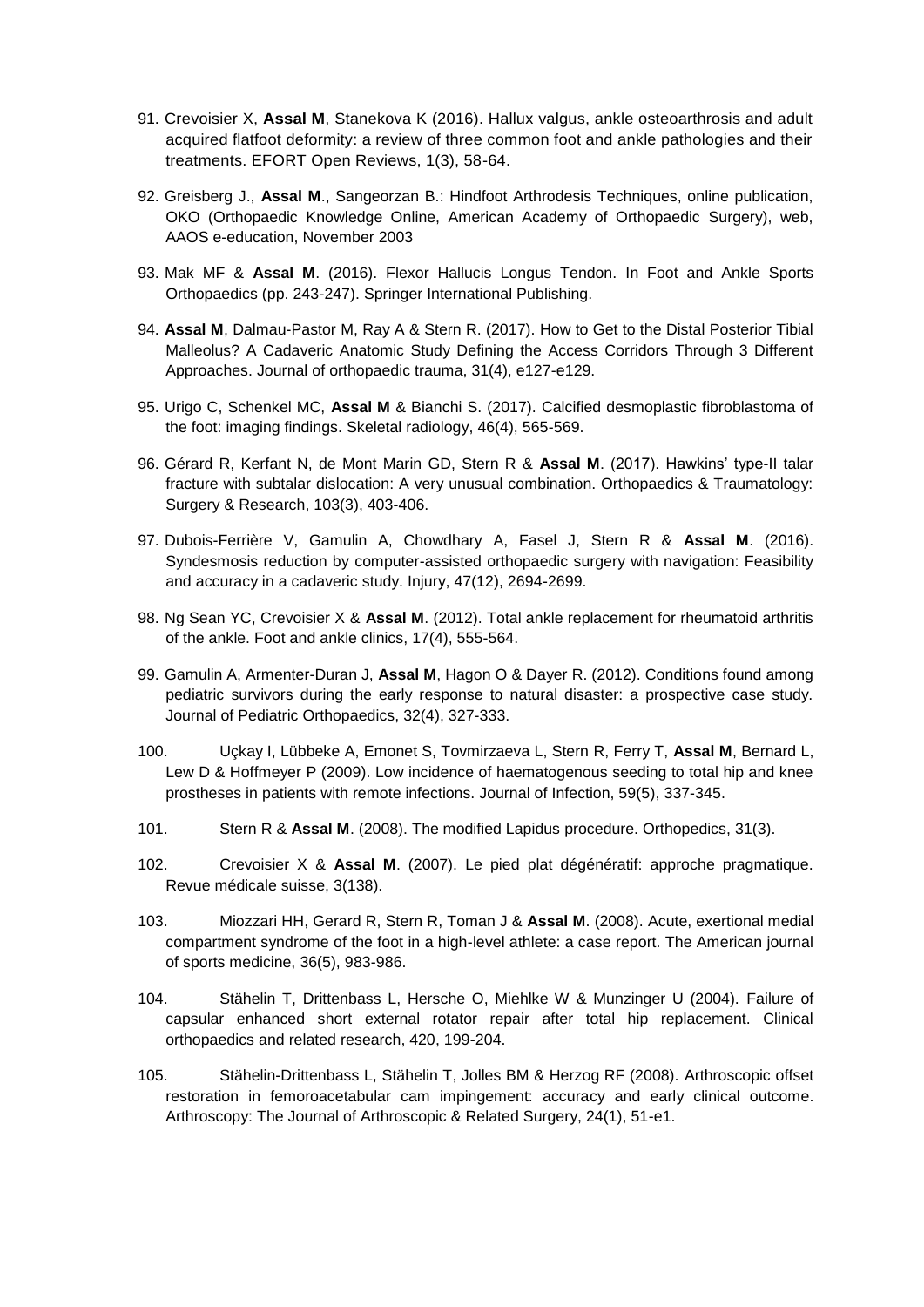- 91. Crevoisier X, **Assal M**, Stanekova K (2016). Hallux valgus, ankle osteoarthrosis and adult acquired flatfoot deformity: a review of three common foot and ankle pathologies and their treatments. EFORT Open Reviews, 1(3), 58-64.
- 92. Greisberg J., **Assal M**., Sangeorzan B.: Hindfoot Arthrodesis Techniques, online publication, OKO (Orthopaedic Knowledge Online, American Academy of Orthopaedic Surgery), web, AAOS e-education, November 2003
- 93. Mak MF & **Assal M**. (2016). Flexor Hallucis Longus Tendon. In Foot and Ankle Sports Orthopaedics (pp. 243-247). Springer International Publishing.
- 94. **Assal M**, Dalmau-Pastor M, Ray A & Stern R. (2017). How to Get to the Distal Posterior Tibial Malleolus? A Cadaveric Anatomic Study Defining the Access Corridors Through 3 Different Approaches. Journal of orthopaedic trauma, 31(4), e127-e129.
- 95. Urigo C, Schenkel MC, **Assal M** & Bianchi S. (2017). Calcified desmoplastic fibroblastoma of the foot: imaging findings. Skeletal radiology, 46(4), 565-569.
- 96. Gérard R, Kerfant N, de Mont Marin GD, Stern R & **Assal M**. (2017). Hawkins' type-II talar fracture with subtalar dislocation: A very unusual combination. Orthopaedics & Traumatology: Surgery & Research, 103(3), 403-406.
- 97. Dubois-Ferrière V, Gamulin A, Chowdhary A, Fasel J, Stern R & **Assal M**. (2016). Syndesmosis reduction by computer-assisted orthopaedic surgery with navigation: Feasibility and accuracy in a cadaveric study. Injury, 47(12), 2694-2699.
- 98. Ng Sean YC, Crevoisier X & **Assal M**. (2012). Total ankle replacement for rheumatoid arthritis of the ankle. Foot and ankle clinics, 17(4), 555-564.
- 99. Gamulin A, Armenter-Duran J, **Assal M**, Hagon O & Dayer R. (2012). Conditions found among pediatric survivors during the early response to natural disaster: a prospective case study. Journal of Pediatric Orthopaedics, 32(4), 327-333.
- 100. Uçkay I, Lübbeke A, Emonet S, Tovmirzaeva L, Stern R, Ferry T, **Assal M**, Bernard L, Lew D & Hoffmeyer P (2009). Low incidence of haematogenous seeding to total hip and knee prostheses in patients with remote infections. Journal of Infection, 59(5), 337-345.
- 101. Stern R & **Assal M**. (2008). The modified Lapidus procedure. Orthopedics, 31(3).
- 102. Crevoisier X & **Assal M**. (2007). Le pied plat dégénératif: approche pragmatique. Revue médicale suisse, 3(138).
- 103. Miozzari HH, Gerard R, Stern R, Toman J & **Assal M**. (2008). Acute, exertional medial compartment syndrome of the foot in a high-level athlete: a case report. The American journal of sports medicine, 36(5), 983-986.
- 104. Stähelin T, Drittenbass L, Hersche O, Miehlke W & Munzinger U (2004). Failure of capsular enhanced short external rotator repair after total hip replacement. Clinical orthopaedics and related research, 420, 199-204.
- 105. Stähelin-Drittenbass L, Stähelin T, Jolles BM & Herzog RF (2008). Arthroscopic offset restoration in femoroacetabular cam impingement: accuracy and early clinical outcome. Arthroscopy: The Journal of Arthroscopic & Related Surgery, 24(1), 51-e1.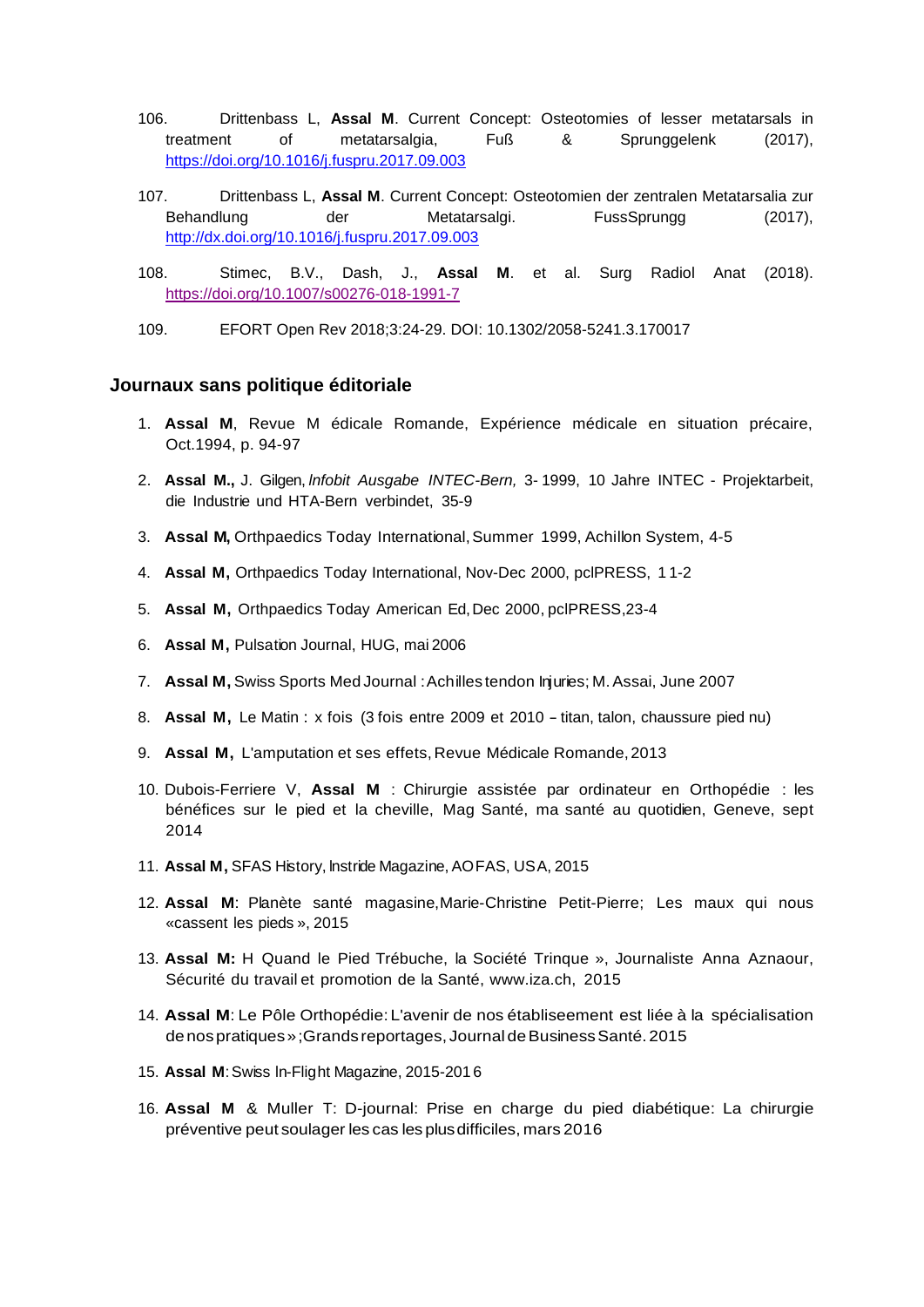- 106. Drittenbass L, **Assal M**. Current Concept: Osteotomies of lesser metatarsals in treatment of metatarsalgia, Fuß & Sprunggelenk (2017), <https://doi.org/10.1016/j.fuspru.2017.09.003>
- 107. Drittenbass L, **Assal M**. Current Concept: Osteotomien der zentralen Metatarsalia zur Behandlung der Metatarsalgi. FussSprungg (2017), <http://dx.doi.org/10.1016/j.fuspru.2017.09.003>
- 108. Stimec, B.V., Dash, J., **Assal M**. et al. Surg Radiol Anat (2018). <https://doi.org/10.1007/s00276-018-1991-7>
- 109. EFORT Open Rev 2018;3:24-29. DOI: 10.1302/2058-5241.3.170017

#### **Journaux sans politique éditoriale**

- 1. **Assal M**, Revue M édicale Romande, Expérience médicale en situation précaire, Oct.1994, p. 94-97
- 2. **Assal M.,** J. Gilgen, *lnfobit Ausgabe INTEC-Bern,* 3- 1999, 10 Jahre INTEC Projektarbeit, die Industrie und HTA-Bern verbindet, 35-9
- 3. **Assal M,** Orthpaedics Today International,Summer 1999, Achillon System, 4-5
- 4. **Assal M,** Orthpaedics Today International, Nov-Dec 2000, pclPRESS, 1 1-2
- 5. **Assal M,** Orthpaedics Today American Ed,Dec 2000, pclPRESS,23-4
- 6. **Assal M,** Pulsation Journal, HUG, mai 2006
- 7. **Assal M,** Swiss Sports Med Journal :Achilles tendon Injuries; M.Assai, June 2007
- 8. **Assal M,** Le Matin : <sup>x</sup> fois (3 fois entre <sup>2009</sup> et <sup>2010</sup> -titan, talon, chaussure pied nu)
- 9. **Assal M,** L'amputation et ses effets,Revue Médicale Romande,2013
- 10. Dubois-Ferriere V, **Assal M** : Chirurgie assistée par ordinateur en Orthopédie : les bénéfices sur le pied et la cheville, Mag Santé, ma santé au quotidien, Geneve, sept 2014
- 11. **Assal M,** SFAS History, lnstride Magazine, AOFAS, USA, 2015
- 12. **Assal M**: Planète santé magasine,Marie-Christine Petit-Pierre; Les maux qui nous «cassent les pieds », 2015
- 13. **Assal M:** H Quand le Pied Trébuche, la Société Trinque », Journaliste Anna Aznaour, Sécurité du travail et promotion de la Santé, [www.iza.ch,](http://www.iza.ch/) 2015
- 14. **Assal M**: Le Pôle Orthopédie: L'avenir de nos établiseement est liée à la spécialisation denospratiques»;Grands reportages, Journal deBusinessSanté. 2015
- 15. **Assal M**:Swiss ln-Flight Magazine, 2015-201 6
- 16. **Assal M** & Muller T: D-journal: Prise en charge du pied diabétique: La chirurgie préventive peut soulager les cas les plusdifficiles, mars 2016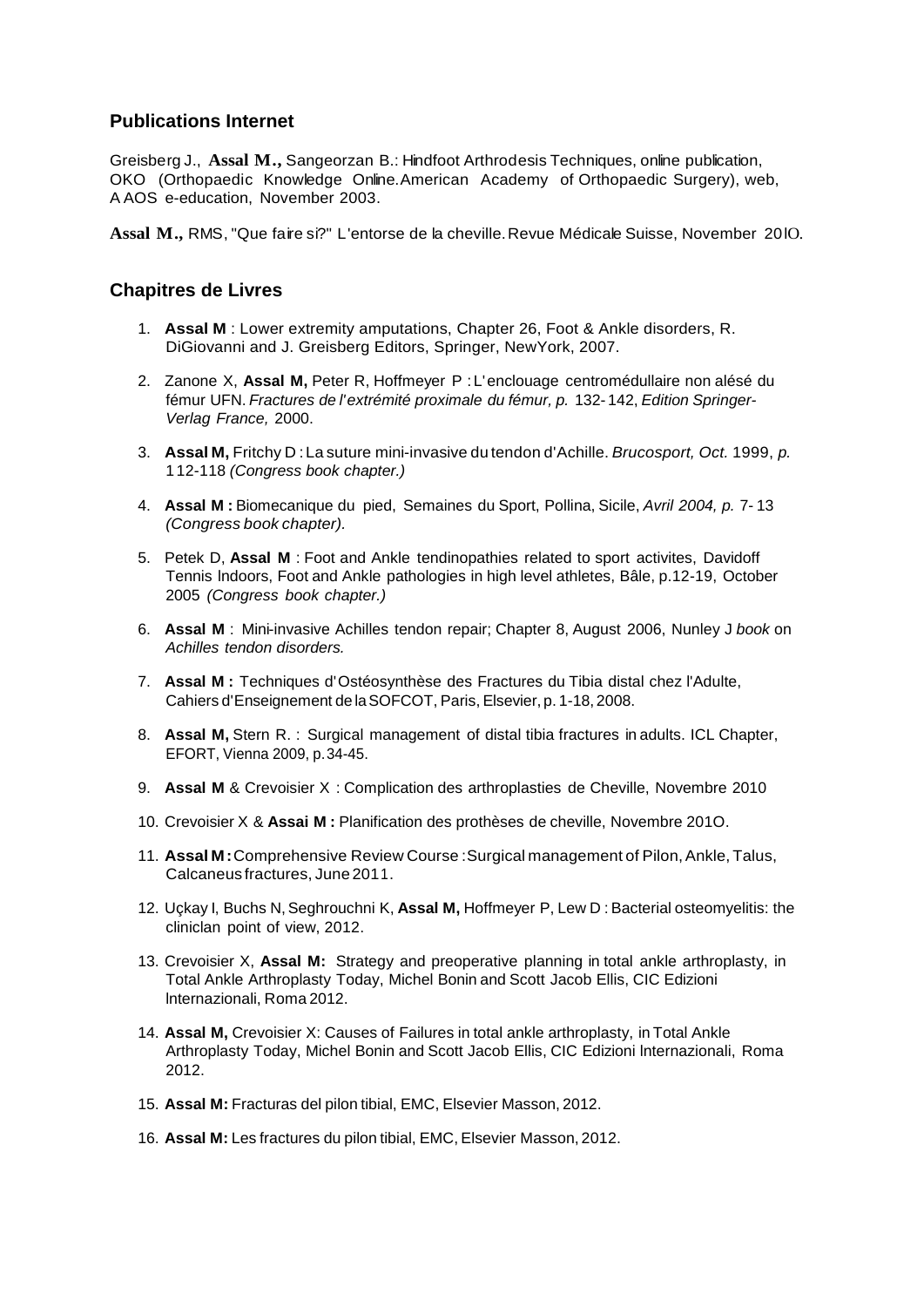## **Publications Internet**

Greisberg J., **Assal M.,** Sangeorzan B.: Hindfoot Arthrodesis Techniques, online publication, OKO (Orthopaedic Knowledge Online.American Academy of Orthopaedic Surgery), web, A AOS e-education, November 2003.

**Assal M.,** RMS, "Que faire si?" L'entorse de la cheville.Revue Médicale Suisse, November 20lO.

## **Chapitres de Livres**

- 1. **Assal M** : Lower extremity amputations, Chapter 26, Foot & Ankle disorders, R. DiGiovanni and J. Greisberg Editors, Springer, NewYork, 2007.
- 2. Zanone X, **Assal M,** Peter R, Hoffmeyer P : L'enclouage centromédullaire non alésé du fémur UFN. *Fractures de l'extrémité proximale du fémur, p.* 132- 142, *Edition Springer-Verlag France,* 2000.
- 3. **Assal M,** Fritchy D :La suture mini-invasive du tendon d'Achille. *Brucosport, Oct.* 1999, *p.* 1 12-118 *(Congress book chapter.)*
- 4. **Assal M :** Biomecanique du pied, Semaines du Sport, Pollina, Sicile, *Avril 2004, p.* 7- 13 *(Congress book chapter).*
- 5. Petek D, **Assal M** : Foot and Ankle tendinopathies related to sport activites, Davidoff Tennis lndoors, Foot and Ankle pathologies in high level athletes, Bâle, p.12-19, October 2005 *(Congress book chapter.)*
- 6. **Assal M** : Mini-invasive Achilles tendon repair; Chapter 8, August 2006, Nunley J *book* on *Achilles tendon disorders.*
- 7. **Assal M :** Techniques d'Ostéosynthèse des Fractures du Tibia distal chez l'Adulte, Cahiers d'Enseignement de laSOFCOT, Paris, Elsevier, p. 1-18, 2008.
- 8. **Assal M,** Stern R. : Surgical management of distal tibia fractures in adults. ICL Chapter, EFORT, Vienna 2009, p.34-45.
- 9. **Assal M** & Crevoisier X : Complication des arthroplasties de Cheville, Novembre 2010
- 10. Crevoisier X & **Assai M :** Planification des prothèses de cheville, Novembre 201O.
- 11. **Assal M:**Comprehensive Review Course :Surgical management of Pilon,Ankle, Talus, Calcaneus fractures, June 2011.
- 12. Uçkay I, Buchs N,Seghrouchni K, **Assal M,** Hoffmeyer P, Lew D : Bacterial osteomyelitis: the cliniclan point of view, 2012.
- 13. Crevoisier X, **Assal M:** Strategy and preoperative planning in total ankle arthroplasty, in Total Ankle Arthroplasty Today, Michel Bonin and Scott Jacob Ellis, CIC Edizioni lnternazionali, Roma 2012.
- 14. **Assal M,** Crevoisier X: Causes of Failures in total ankle arthroplasty, in Total Ankle Arthroplasty Today, Michel Bonin and Scott Jacob Ellis, CIC Edizioni lnternazionali, Roma 2012.
- 15. **Assal M:** Fracturas del pilon tibial, EMC, Elsevier Masson, 2012.
- 16. **Assal M:** Les fractures du pilon tibial, EMC, Elsevier Masson, 2012.